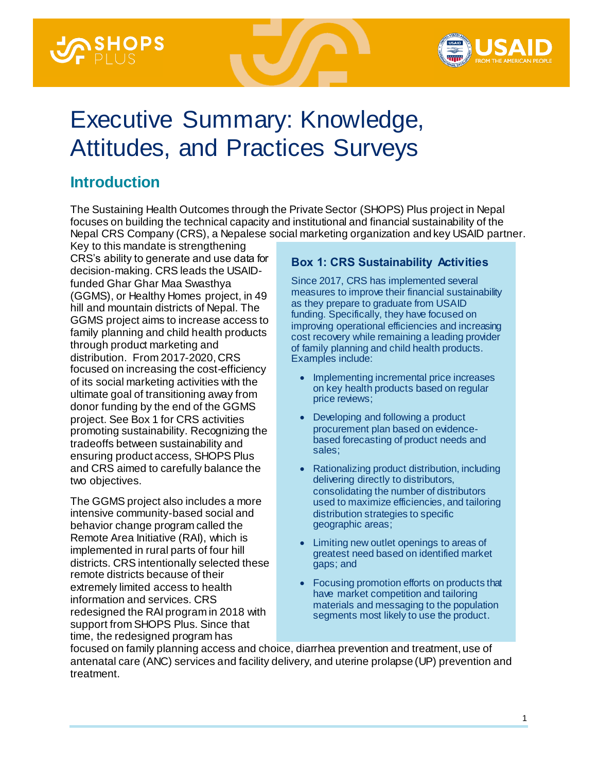



# Executive Summary: Knowledge, Attitudes, and Practices Surveys

# **Introduction**

The Sustaining Health Outcomes through the Private Sector (SHOPS) Plus project in Nepal focuses on building the technical capacity and institutional and financial sustainability of the Nepal CRS Company (CRS), a Nepalese social marketing organization and key USAID partner.

Key to this mandate is strengthening CRS's ability to generate and use data for decision-making. CRS leads the USAIDfunded Ghar Ghar Maa Swasthya (GGMS), or Healthy Homes project, in 49 hill and mountain districts of Nepal. The GGMS project aims to increase access to family planning and child health products through product marketing and distribution. From 2017-2020, CRS focused on increasing the cost-efficiency of its social marketing activities with the ultimate goal of transitioning away from donor funding by the end of the GGMS project. See Box 1 for CRS activities promoting sustainability. Recognizing the tradeoffs between sustainability and ensuring product access, SHOPS Plus and CRS aimed to carefully balance the two objectives.

The GGMS project also includes a more intensive community-based social and behavior change program called the Remote Area Initiative (RAI), which is implemented in rural parts of four hill districts. CRS intentionally selected these remote districts because of their extremely limited access to health information and services. CRS redesigned the RAI program in 2018 with support from SHOPS Plus. Since that time, the redesigned program has

#### **Box 1: CRS Sustainability Activities**

Since 2017, CRS has implemented several measures to improve their financial sustainability as they prepare to graduate from USAID funding. Specifically, they have focused on improving operational efficiencies and increasing cost recovery while remaining a leading provider of family planning and child health products. Examples include:

- Implementing incremental price increases on key health products based on regular price reviews;
- Developing and following a product procurement plan based on evidencebased forecasting of product needs and sales;
- Rationalizing product distribution, including delivering directly to distributors, consolidating the number of distributors used to maximize efficiencies, and tailoring distribution strategies to specific geographic areas;
- Limiting new outlet openings to areas of greatest need based on identified market gaps; and
- Focusing promotion efforts on products that have market competition and tailoring materials and messaging to the population segments most likely to use the product.

focused on family planning access and choice, diarrhea prevention and treatment, use of antenatal care (ANC) services and facility delivery, and uterine prolapse (UP) prevention and treatment.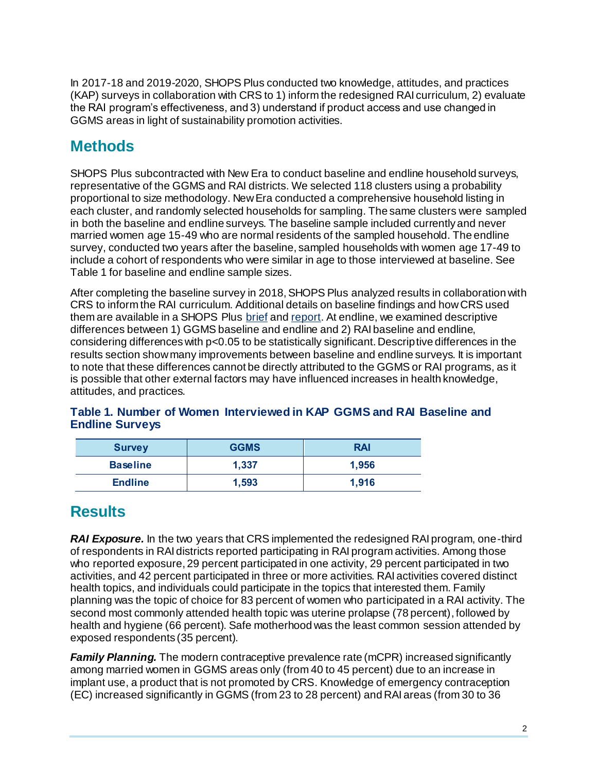In 2017-18 and 2019-2020, SHOPS Plus conducted two knowledge, attitudes, and practices (KAP) surveys in collaboration with CRS to 1) inform the redesigned RAI curriculum, 2) evaluate the RAI program's effectiveness, and 3) understand if product access and use changed in GGMS areas in light of sustainability promotion activities.

# **Methods**

SHOPS Plus subcontracted with New Era to conduct baseline and endline household surveys, representative of the GGMS and RAI districts. We selected 118 clusters using a probability proportional to size methodology. New Era conducted a comprehensive household listing in each cluster, and randomly selected households for sampling. The same clusters were sampled in both the baseline and endline surveys. The baseline sample included currently and never married women age 15-49 who are normal residents of the sampled household. The endline survey, conducted two years after the baseline, sampled households with women age 17-49 to include a cohort of respondents who were similar in age to those interviewed at baseline. See Table 1 for baseline and endline sample sizes.

After completing the baseline survey in 2018, SHOPS Plus analyzed results in collaboration with CRS to inform the RAI curriculum. Additional details on baseline findings and how CRS used them are available in a SHOPS Plus [brief](https://shopsplusproject.org/sites/default/files/resources/Using%20data%20to%20design%20an%20evidence-based%20social%20and%20behavior%20change%20program%20in%20rural%20Nepal.pdf) an[d report](https://www.shopsplusproject.org/sites/default/files/resources/Informing%20Reproductive%20and%20Child%20Health%20Social%20and%20Behavior%20Change%20Programs-%20Findings%20from%20a%20household%20survey%20in%20Nepal.pdf). At endline, we examined descriptive differences between 1) GGMS baseline and endline and 2) RAI baseline and endline, considering differences with p<0.05 to be statistically significant. Descriptive differences in the results section show many improvements between baseline and endline surveys. It is important to note that these differences cannot be directly attributed to the GGMS or RAI programs, as it is possible that other external factors may have influenced increases in health knowledge, attitudes, and practices.

| <b>Survey</b>   | <b>GGMS</b> | <b>RAI</b> |
|-----------------|-------------|------------|
| <b>Baseline</b> | 1,337       | 1,956      |
| <b>Endline</b>  | 1,593       | 1,916      |

#### **Table 1. Number of Women Interviewed in KAP GGMS and RAI Baseline and Endline Surveys**

## **Results**

*RAI Exposure.* In the two years that CRS implemented the redesigned RAI program, one-third of respondents in RAI districts reported participating in RAI program activities. Among those who reported exposure, 29 percent participated in one activity, 29 percent participated in two activities, and 42 percent participated in three or more activities. RAI activities covered distinct health topics, and individuals could participate in the topics that interested them. Family planning was the topic of choice for 83 percent of women who participated in a RAI activity. The second most commonly attended health topic was uterine prolapse (78 percent), followed by health and hygiene (66 percent). Safe motherhood was the least common session attended by exposed respondents (35 percent).

*Family Planning.* The modern contraceptive prevalence rate (mCPR) increased significantly among married women in GGMS areas only (from 40 to 45 percent) due to an increase in implant use, a product that is not promoted by CRS. Knowledge of emergency contraception (EC) increased significantly in GGMS (from 23 to 28 percent) and RAI areas (from 30 to 36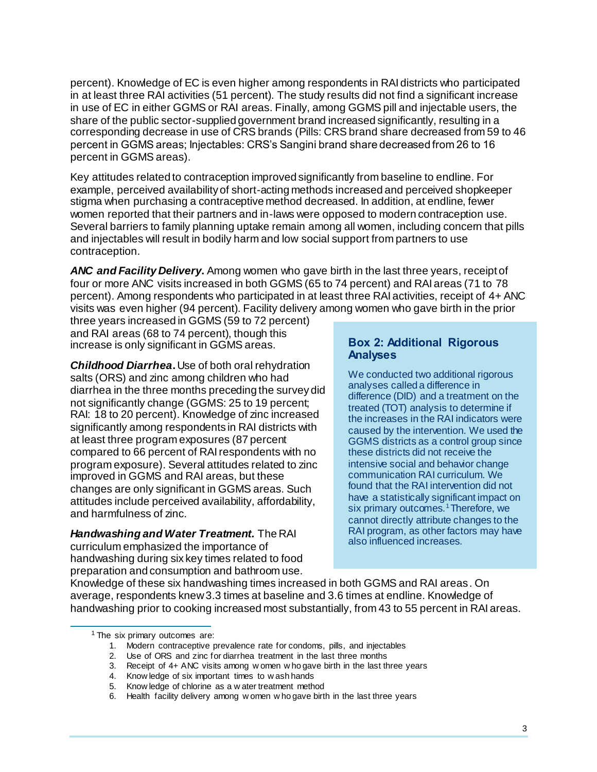percent). Knowledge of EC is even higher among respondents in RAI districts who participated in at least three RAI activities (51 percent). The study results did not find a significant increase in use of EC in either GGMS or RAI areas. Finally, among GGMS pill and injectable users, the share of the public sector-supplied government brand increased significantly, resulting in a corresponding decrease in use of CRS brands (Pills: CRS brand share decreased from 59 to 46 percent in GGMS areas; Injectables: CRS's Sangini brand share decreased from 26 to 16 percent in GGMS areas).

Key attitudes related to contraception improved significantly from baseline to endline. For example, perceived availability of short-acting methods increased and perceived shopkeeper stigma when purchasing a contraceptive method decreased. In addition, at endline, fewer women reported that their partners and in-laws were opposed to modern contraception use. Several barriers to family planning uptake remain among all women, including concern that pills and injectables will result in bodily harm and low social support from partners to use contraception.

*ANC and Facility Delivery***.** Among women who gave birth in the last three years, receipt of four or more ANC visits increased in both GGMS (65 to 74 percent) and RAI areas (71 to 78 percent). Among respondents who participated in at least three RAI activities, receipt of 4+ ANC visits was even higher (94 percent). Facility delivery among women who gave birth in the prior

three years increased in GGMS (59 to 72 percent) and RAI areas (68 to 74 percent), though this increase is only significant in GGMS areas.

*Childhood Diarrhea***.** Use of both oral rehydration salts (ORS) and zinc among children who had diarrhea in the three months preceding the survey did not significantly change (GGMS: 25 to 19 percent; RAI: 18 to 20 percent). Knowledge of zinc increased significantly among respondents in RAI districts with at least three program exposures (87 percent compared to 66 percent of RAI respondents with no program exposure). Several attitudes related to zinc improved in GGMS and RAI areas, but these changes are only significant in GGMS areas. Such attitudes include perceived availability, affordability, and harmfulness of zinc. <sup>1</sup>

*Handwashing and Water Treatment.* The RAI curriculum emphasized the importance of handwashing during six key times related to food preparation and consumption and bathroom use.

#### **Box 2: Additional Rigorous Analyses**

We conducted two additional rigorous analyses called a difference in difference (DID) and a treatment on the treated (TOT) analysis to determine if the increases in the RAI indicators were caused by the intervention. We used the GGMS districts as a control group since these districts did not receive the intensive social and behavior change communication RAI curriculum. We found that the RAI intervention did not have a statistically significant impact on six primary outcomes.<sup>1</sup>Therefore, we cannot directly attribute changes to the RAI program, as other factors may have also influenced increases.

Knowledge of these six handwashing times increased in both GGMS and RAI areas. On average, respondents knew 3.3 times at baseline and 3.6 times at endline. Knowledge of handwashing prior to cooking increased most substantially, from 43 to 55 percent in RAI areas.

 $\overline{a}$ 

<sup>1</sup> The six primary outcomes are:

<sup>1.</sup> Modern contraceptive prevalence rate for condoms, pills, and injectables

<sup>2.</sup> Use of ORS and zinc for diarrhea treatment in the last three months

<sup>3.</sup> Receipt of 4+ ANC visits among w omen w ho gave birth in the last three years

<sup>4.</sup> Know ledge of six important times to w ash hands

<sup>5.</sup> Know ledge of chlorine as a w ater treatment method

<sup>6.</sup> Health facility delivery among w omen w ho gave birth in the last three years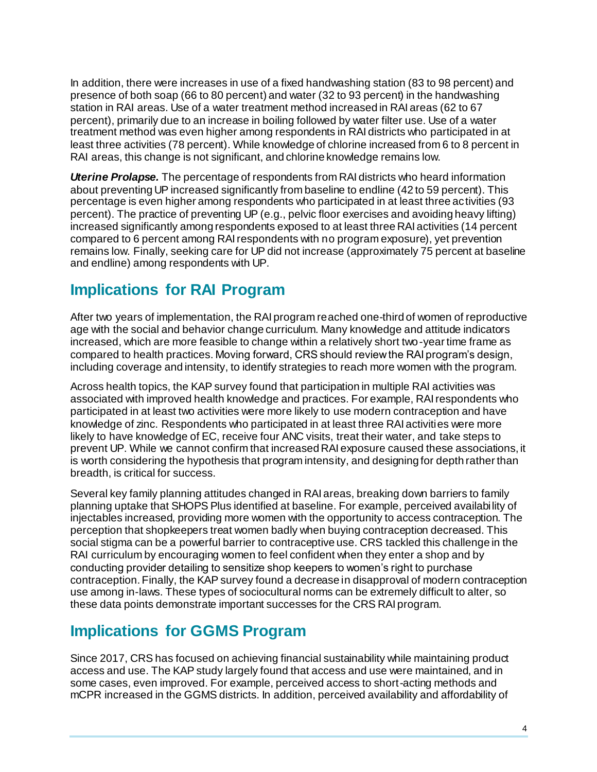In addition, there were increases in use of a fixed handwashing station (83 to 98 percent) and presence of both soap (66 to 80 percent) and water (32 to 93 percent) in the handwashing station in RAI areas. Use of a water treatment method increased in RAI areas (62 to 67 percent), primarily due to an increase in boiling followed by water filter use. Use of a water treatment method was even higher among respondents in RAI districts who participated in at least three activities (78 percent). While knowledge of chlorine increased from 6 to 8 percent in RAI areas, this change is not significant, and chlorine knowledge remains low.

*Uterine Prolapse.* The percentage of respondents from RAI districts who heard information about preventing UP increased significantly from baseline to endline (42 to 59 percent). This percentage is even higher among respondents who participated in at least three activities (93 percent). The practice of preventing UP (e.g., pelvic floor exercises and avoiding heavy lifting) increased significantly among respondents exposed to at least three RAI activities (14 percent compared to 6 percent among RAI respondents with no program exposure), yet prevention remains low. Finally, seeking care for UP did not increase (approximately 75 percent at baseline and endline) among respondents with UP.

## **Implications for RAI Program**

After two years of implementation, the RAI program reached one-third of women of reproductive age with the social and behavior change curriculum. Many knowledge and attitude indicators increased, which are more feasible to change within a relatively short two-year time frame as compared to health practices. Moving forward, CRS should review the RAI program's design, including coverage and intensity, to identify strategies to reach more women with the program.

Across health topics, the KAP survey found that participation in multiple RAI activities was associated with improved health knowledge and practices. For example, RAI respondents who participated in at least two activities were more likely to use modern contraception and have knowledge of zinc. Respondents who participated in at least three RAI activities were more likely to have knowledge of EC, receive four ANC visits, treat their water, and take steps to prevent UP. While we cannot confirm that increased RAI exposure caused these associations, it is worth considering the hypothesis that program intensity, and designing for depth rather than breadth, is critical for success.

Several key family planning attitudes changed in RAI areas, breaking down barriers to family planning uptake that SHOPS Plus identified at baseline. For example, perceived availability of injectables increased, providing more women with the opportunity to access contraception. The perception that shopkeepers treat women badly when buying contraception decreased. This social stigma can be a powerful barrier to contraceptive use. CRS tackled this challenge in the RAI curriculum by encouraging women to feel confident when they enter a shop and by conducting provider detailing to sensitize shop keepers to women's right to purchase contraception. Finally, the KAP survey found a decrease in disapproval of modern contraception use among in-laws. These types of sociocultural norms can be extremely difficult to alter, so these data points demonstrate important successes for the CRS RAI program.

## **Implications for GGMS Program**

Since 2017, CRS has focused on achieving financial sustainability while maintaining product access and use. The KAP study largely found that access and use were maintained, and in some cases, even improved. For example, perceived access to short-acting methods and mCPR increased in the GGMS districts. In addition, perceived availability and affordability of